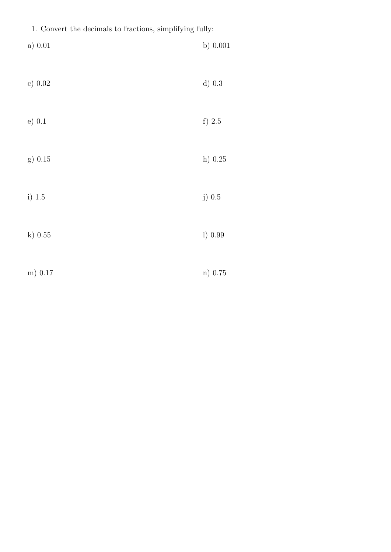|  |  |  |  |  |  | 1. Convert the decimals to fractions, simplifying fully: |  |
|--|--|--|--|--|--|----------------------------------------------------------|--|
|--|--|--|--|--|--|----------------------------------------------------------|--|

| a) 0.01   | b) $0.001$ |
|-----------|------------|
| c) 0.02   | $d)$ 0.3   |
| $e)$ 0.1  | f) $2.5$   |
| g) 0.15   | h) $0.25$  |
| i) $1.5$  | j) $0.5$   |
| $k)$ 0.55 | 1) 0.99    |
| m) 0.17   | n) 0.75    |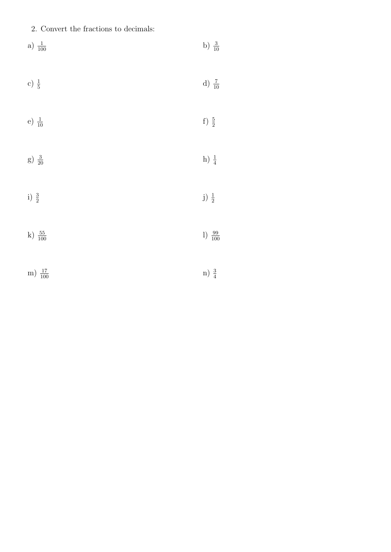## 2. Convert the fractions to decimals:

a) 
$$
\frac{1}{100}
$$
  
\nb)  $\frac{3}{10}$   
\nc)  $\frac{1}{5}$   
\nd)  $\frac{7}{10}$   
\nf)  $\frac{5}{2}$   
\ng)  $\frac{3}{20}$   
\nh)  $\frac{1}{4}$   
\ni)  $\frac{3}{2}$   
\nj)  $\frac{3}{2}$ 

- k)  $\frac{55}{100}$  $\frac{55}{100}$  1)  $\frac{99}{100}$ 1)  $\frac{99}{100}$
- m)  $\frac{17}{100}$  $\frac{17}{100}$  n)  $\frac{3}{4}$ n)  $\frac{3}{4}$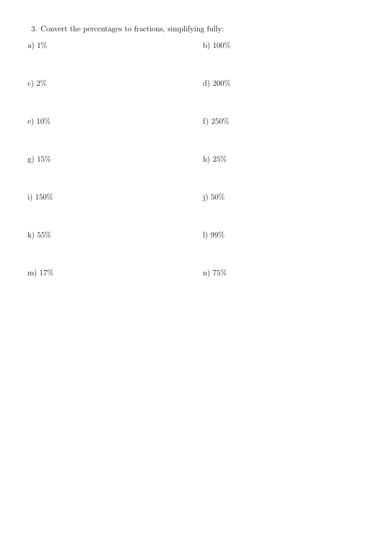| 3. Convert the percentages to fractions, simplifying fully: |            |  |  |  |
|-------------------------------------------------------------|------------|--|--|--|
| a) $1\%$                                                    | b) $100\%$ |  |  |  |
| c) $2\%$                                                    | d) 200%    |  |  |  |
| e) $10\%$                                                   | f) $250\%$ |  |  |  |
| g) 15%                                                      | h) $25%$   |  |  |  |
| i) 150%                                                     | j) 50%     |  |  |  |
| k) $55\%$                                                   | 1) 99%     |  |  |  |
| m) 17%                                                      | n) 75%     |  |  |  |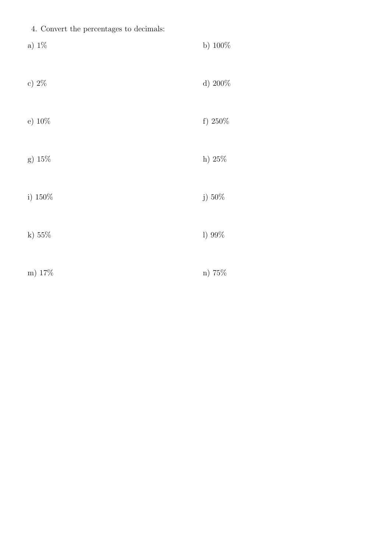|  |  |  | 4. Convert the percentages to decimals: |  |  |
|--|--|--|-----------------------------------------|--|--|
|--|--|--|-----------------------------------------|--|--|

| a) $1\%$  | b) $100\%$ |
|-----------|------------|
| c) $2\%$  | d) 200%    |
| e) $10\%$ | f) $250\%$ |
| g) $15\%$ | h) 25%     |
| i) 150%   | j) 50%     |
| k) $55%$  | 1) 99%     |
| m) 17%    | n) 75%     |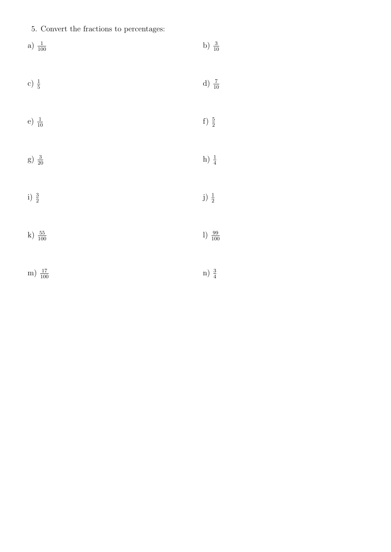5. Convert the fractions to percentages:

a) 
$$
\frac{1}{100}
$$
  
b)  $\frac{3}{10}$   
c)  $\frac{1}{5}$   
d)  $\frac{7}{10}$   
e)  $\frac{1}{10}$   
f)  $\frac{5}{2}$   
g)  $\frac{3}{20}$   
h)  $\frac{1}{4}$   
i)  $\frac{3}{2}$   
j)  $\frac{3}{2}$   
j)  $\frac{1}{2}$ 

m)  $\frac{17}{100}$  $\frac{17}{100}$  n)  $\frac{3}{4}$ n)  $\frac{3}{4}$